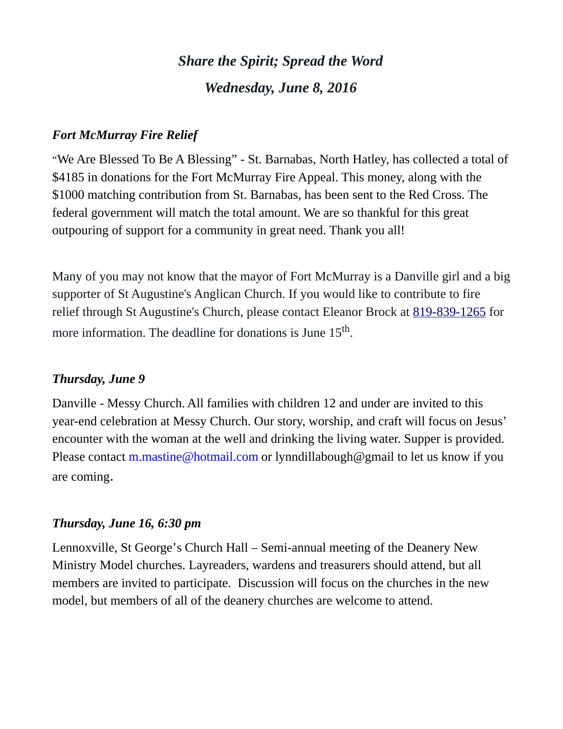# *Share the Spirit; Spread the Word Wednesday, June 8, 2016*

### *Fort McMurray Fire Relief*

 "We Are Blessed To Be A Blessing" - St. Barnabas, North Hatley, has collected a total of \$4185 in donations for the Fort McMurray Fire Appeal. This money, along with the \$1000 matching contribution from St. Barnabas, has been sent to the Red Cross. The federal government will match the total amount. We are so thankful for this great outpouring of support for a community in great need. Thank you all!

Many of you may not know that the mayor of Fort McMurray is a Danville girl and a big supporter of St Augustine's Anglican Church. If you would like to contribute to fire relief through St Augustine's Church, please contact Eleanor Brock at [819-839-1265](tel:819-839-1265) for more information. The deadline for donations is June  $15^{\text{th}}$ .

#### *Thursday, June 9*

Danville - Messy Church. All families with children 12 and under are invited to this year-end celebration at Messy Church. Our story, worship, and craft will focus on Jesus' encounter with the woman at the well and drinking the living water. Supper is provided. Please contact [m.mastine@hotmail.com](https://webmail.ubishops.ca/owa/redir.aspx?REF=W0VnyvkJgGjP33Dx4PcuWFUFhMmlBAQJKX2UjgGEGiE5Ur0CmYTTCAFtYWlsdG86bS5tYXN0aW5lQGhvdG1haWwuY29t) or lynndillabough@gmail to let us know if you are coming.

#### *Thursday, June 16, 6:30 pm*

Lennoxville, St George's Church Hall – Semi-annual meeting of the Deanery New Ministry Model churches. Layreaders, wardens and treasurers should attend, but all members are invited to participate. Discussion will focus on the churches in the new model, but members of all of the deanery churches are welcome to attend.